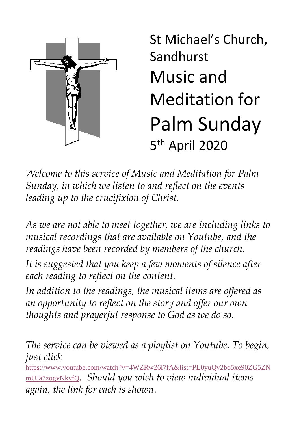

St Michael's Church, Sandhurst Music and Meditation for Palm Sunday 5 th April 2020

*Welcome to this service of Music and Meditation for Palm Sunday, in which we listen to and reflect on the events leading up to the crucifixion of Christ.* 

*As we are not able to meet together, we are including links to musical recordings that are available on Youtube, and the readings have been recorded by members of the church.*

*It is suggested that you keep a few moments of silence after each reading to reflect on the content.*

*In addition to the readings, the musical items are offered as an opportunity to reflect on the story and offer our own thoughts and prayerful response to God as we do so.*

*The service can be viewed as a playlist on Youtube. To begin, just click*

[https://www.youtube.com/watch?v=4WZRw26l7fA&list=PL0yuQv2bo5xe90ZG5ZN](https://www.youtube.com/watch?v=4WZRw26l7fA&list=PL0yuQv2bo5xe90ZG5ZNmUJa7zogyNkyfQ) [mUJa7zogyNkyfQ](https://www.youtube.com/watch?v=4WZRw26l7fA&list=PL0yuQv2bo5xe90ZG5ZNmUJa7zogyNkyfQ)*. Should you wish to view individual items again, the link for each is shown.*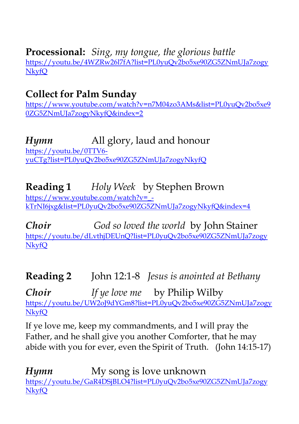**Processional:** *Sing, my tongue, the glorious battle*

[https://youtu.be/4WZRw26l7fA?list=PL0yuQv2bo5xe90ZG5ZNmUJa7zogy](https://youtu.be/4WZRw26l7fA?list=PL0yuQv2bo5xe90ZG5ZNmUJa7zogyNkyfQ) [NkyfQ](https://youtu.be/4WZRw26l7fA?list=PL0yuQv2bo5xe90ZG5ZNmUJa7zogyNkyfQ)

# **Collect for Palm Sunday**

[https://www.youtube.com/watch?v=n7M04zo3AMs&list=PL0yuQv2bo5xe9](https://www.youtube.com/watch?v=n7M04zo3AMs&list=PL0yuQv2bo5xe90ZG5ZNmUJa7zogyNkyfQ&index=2) [0ZG5ZNmUJa7zogyNkyfQ&index=2](https://www.youtube.com/watch?v=n7M04zo3AMs&list=PL0yuQv2bo5xe90ZG5ZNmUJa7zogyNkyfQ&index=2)

# *Hymn* All glory, laud and honour

[https://youtu.be/0TTV6](https://youtu.be/0TTV6-yuCTg?list=PL0yuQv2bo5xe90ZG5ZNmUJa7zogyNkyfQ) [yuCTg?list=PL0yuQv2bo5xe90ZG5ZNmUJa7zogyNkyfQ](https://youtu.be/0TTV6-yuCTg?list=PL0yuQv2bo5xe90ZG5ZNmUJa7zogyNkyfQ)

**Reading 1** *Holy Week* by Stephen Brown [https://www.youtube.com/watch?v=\\_](https://www.youtube.com/watch?v=_-kTrNI6jxg&list=PL0yuQv2bo5xe90ZG5ZNmUJa7zogyNkyfQ&index=4) [kTrNI6jxg&list=PL0yuQv2bo5xe90ZG5ZNmUJa7zogyNkyfQ&index=4](https://www.youtube.com/watch?v=_-kTrNI6jxg&list=PL0yuQv2bo5xe90ZG5ZNmUJa7zogyNkyfQ&index=4)

*Choir God so loved the world* by John Stainer [https://youtu.be/dLvthjDEUnQ?list=PL0yuQv2bo5xe90ZG5ZNmUJa7zogy](https://youtu.be/dLvthjDEUnQ?list=PL0yuQv2bo5xe90ZG5ZNmUJa7zogyNkyfQ) [NkyfQ](https://youtu.be/dLvthjDEUnQ?list=PL0yuQv2bo5xe90ZG5ZNmUJa7zogyNkyfQ)

**Reading 2** John 12:1-8 *Jesus is anointed at Bethany*

*Choir If ye love me* by Philip Wilby [https://youtu.be/UW2oJ9dYGm8?list=PL0yuQv2bo5xe90ZG5ZNmUJa7zogy](https://youtu.be/UW2oJ9dYGm8?list=PL0yuQv2bo5xe90ZG5ZNmUJa7zogyNkyfQ) [NkyfQ](https://youtu.be/UW2oJ9dYGm8?list=PL0yuQv2bo5xe90ZG5ZNmUJa7zogyNkyfQ)

If ye love me, keep my commandments, and I will pray the Father, and he shall give you another Comforter, that he may abide with you for ever, even the Spirit of Truth. (John 14:15-17)

*Hymn* My song is love unknown [https://youtu.be/GaR4DSjBLO4?list=PL0yuQv2bo5xe90ZG5ZNmUJa7zogy](https://youtu.be/GaR4DSjBLO4?list=PL0yuQv2bo5xe90ZG5ZNmUJa7zogyNkyfQ) [NkyfQ](https://youtu.be/GaR4DSjBLO4?list=PL0yuQv2bo5xe90ZG5ZNmUJa7zogyNkyfQ)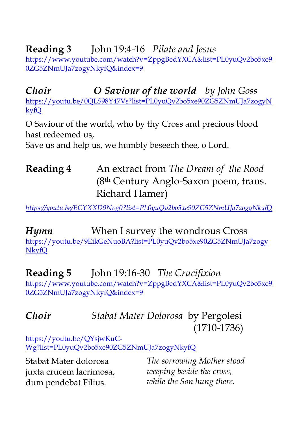**Reading 3** John 19:4-16 *Pilate and Jesus* [https://www.youtube.com/watch?v=ZppgBedYXCA&list=PL0yuQv2bo5xe9](https://www.youtube.com/watch?v=ZppgBedYXCA&list=PL0yuQv2bo5xe90ZG5ZNmUJa7zogyNkyfQ&index=9) [0ZG5ZNmUJa7zogyNkyfQ&index=9](https://www.youtube.com/watch?v=ZppgBedYXCA&list=PL0yuQv2bo5xe90ZG5ZNmUJa7zogyNkyfQ&index=9)

*Choir O Saviour of the world by John Goss* [https://youtu.be/0QLS98Y47Vs?list=PL0yuQv2bo5xe90ZG5ZNmUJa7zogyN](https://youtu.be/0QLS98Y47Vs?list=PL0yuQv2bo5xe90ZG5ZNmUJa7zogyNkyfQ) [kyfQ](https://youtu.be/0QLS98Y47Vs?list=PL0yuQv2bo5xe90ZG5ZNmUJa7zogyNkyfQ)

O Saviour of the world, who by thy Cross and precious blood hast redeemed us.

Save us and help us, we humbly beseech thee, o Lord.

## **Reading 4** An extract from *The Dream of the Rood*  (8th Century Anglo-Saxon poem, trans. Richard Hamer)

*<https://youtu.be/ECYXXD9Nvg0?list=PL0yuQv2bo5xe90ZG5ZNmUJa7zogyNkyfQ>*

*Hymn* When I survey the wondrous Cross [https://youtu.be/9EikGeNuoBA?list=PL0yuQv2bo5xe90ZG5ZNmUJa7zogy](https://youtu.be/9EikGeNuoBA?list=PL0yuQv2bo5xe90ZG5ZNmUJa7zogyNkyfQ) [NkyfQ](https://youtu.be/9EikGeNuoBA?list=PL0yuQv2bo5xe90ZG5ZNmUJa7zogyNkyfQ)

**Reading 5** John 19:16-30 *The Crucifixion* [https://www.youtube.com/watch?v=ZppgBedYXCA&list=PL0yuQv2bo5xe9](https://www.youtube.com/watch?v=ZppgBedYXCA&list=PL0yuQv2bo5xe90ZG5ZNmUJa7zogyNkyfQ&index=9) [0ZG5ZNmUJa7zogyNkyfQ&index=9](https://www.youtube.com/watch?v=ZppgBedYXCA&list=PL0yuQv2bo5xe90ZG5ZNmUJa7zogyNkyfQ&index=9)

## *Choir**Stabat Mater Dolorosa* by Pergolesi (1710-1736)

[https://youtu.be/QYsjwKuC-](https://youtu.be/QYsjwKuC-Wg?list=PL0yuQv2bo5xe90ZG5ZNmUJa7zogyNkyfQ)[Wg?list=PL0yuQv2bo5xe90ZG5ZNmUJa7zogyNkyfQ](https://youtu.be/QYsjwKuC-Wg?list=PL0yuQv2bo5xe90ZG5ZNmUJa7zogyNkyfQ)

Stabat Mater dolorosa juxta crucem lacrimosa, dum pendebat Filius.

*The sorrowing Mother stood weeping beside the cross, while the Son hung there.*